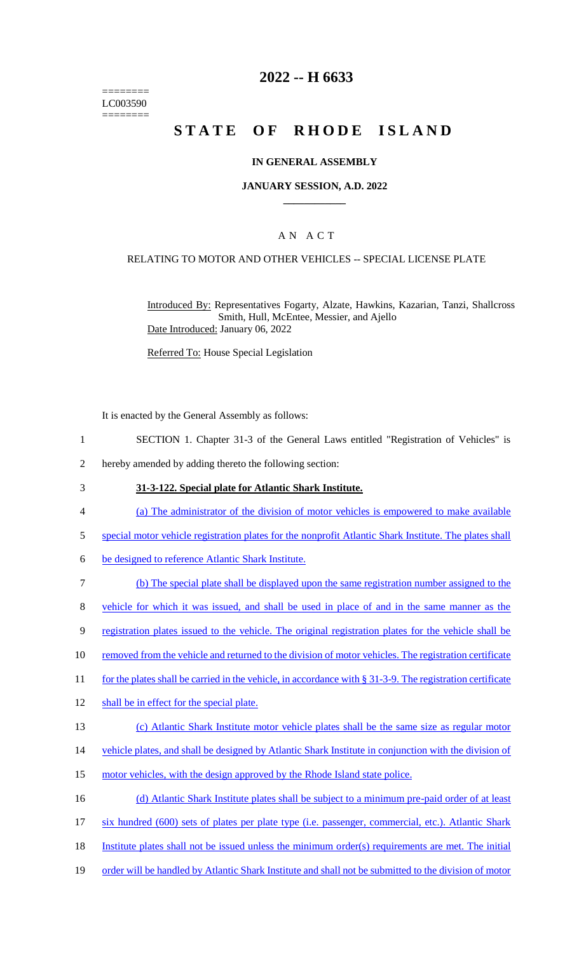======== LC003590 ========

### **2022 -- H 6633**

# **STATE OF RHODE ISLAND**

### **IN GENERAL ASSEMBLY**

#### **JANUARY SESSION, A.D. 2022 \_\_\_\_\_\_\_\_\_\_\_\_**

### A N A C T

#### RELATING TO MOTOR AND OTHER VEHICLES -- SPECIAL LICENSE PLATE

Introduced By: Representatives Fogarty, Alzate, Hawkins, Kazarian, Tanzi, Shallcross Smith, Hull, McEntee, Messier, and Ajello Date Introduced: January 06, 2022

Referred To: House Special Legislation

It is enacted by the General Assembly as follows:

- 1 SECTION 1. Chapter 31-3 of the General Laws entitled "Registration of Vehicles" is
- 2 hereby amended by adding thereto the following section:
- 3 **31-3-122. Special plate for Atlantic Shark Institute.**
- 4 (a) The administrator of the division of motor vehicles is empowered to make available
- 5 special motor vehicle registration plates for the nonprofit Atlantic Shark Institute. The plates shall
- 6 be designed to reference Atlantic Shark Institute.
- 7 (b) The special plate shall be displayed upon the same registration number assigned to the
- 8 vehicle for which it was issued, and shall be used in place of and in the same manner as the
- 9 registration plates issued to the vehicle. The original registration plates for the vehicle shall be
- 10 removed from the vehicle and returned to the division of motor vehicles. The registration certificate
- 11 for the plates shall be carried in the vehicle, in accordance with § 31-3-9. The registration certificate
- 12 shall be in effect for the special plate.
- 13 (c) Atlantic Shark Institute motor vehicle plates shall be the same size as regular motor
- 14 vehicle plates, and shall be designed by Atlantic Shark Institute in conjunction with the division of
- 15 motor vehicles, with the design approved by the Rhode Island state police.
- 16 (d) Atlantic Shark Institute plates shall be subject to a minimum pre-paid order of at least
- 17 six hundred (600) sets of plates per plate type (i.e. passenger, commercial, etc.). Atlantic Shark
- 18 Institute plates shall not be issued unless the minimum order(s) requirements are met. The initial
- 19 order will be handled by Atlantic Shark Institute and shall not be submitted to the division of motor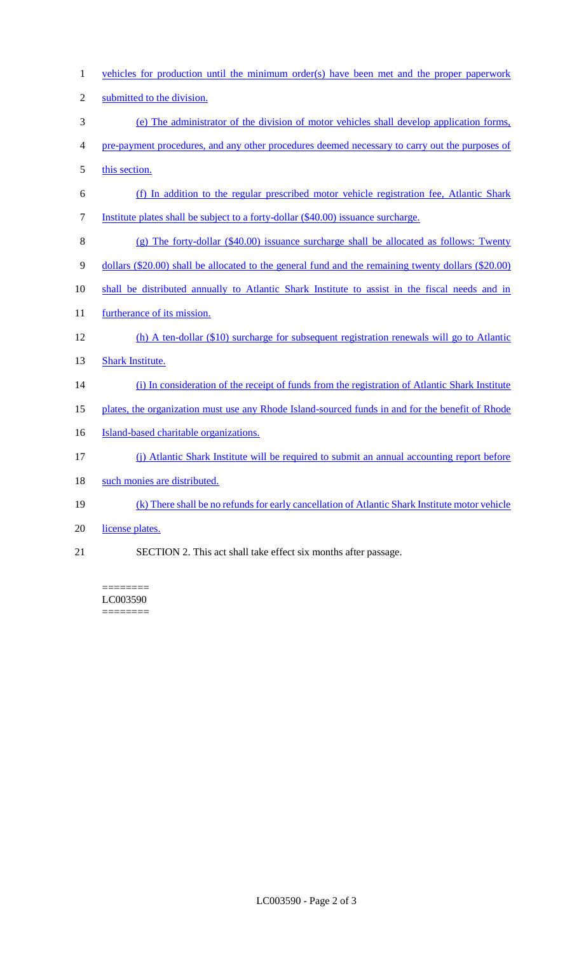vehicles for production until the minimum order(s) have been met and the proper paperwork submitted to the division. (e) The administrator of the division of motor vehicles shall develop application forms, pre-payment procedures, and any other procedures deemed necessary to carry out the purposes of 5 this section. (f) In addition to the regular prescribed motor vehicle registration fee, Atlantic Shark Institute plates shall be subject to a forty-dollar (\$40.00) issuance surcharge. (g) The forty-dollar (\$40.00) issuance surcharge shall be allocated as follows: Twenty dollars (\$20.00) shall be allocated to the general fund and the remaining twenty dollars (\$20.00) shall be distributed annually to Atlantic Shark Institute to assist in the fiscal needs and in 11 furtherance of its mission. (h) A ten-dollar (\$10) surcharge for subsequent registration renewals will go to Atlantic Shark Institute. (i) In consideration of the receipt of funds from the registration of Atlantic Shark Institute 15 plates, the organization must use any Rhode Island-sourced funds in and for the benefit of Rhode **Island-based charitable organizations.**  (j) Atlantic Shark Institute will be required to submit an annual accounting report before 18 such monies are distributed. (k) There shall be no refunds for early cancellation of Atlantic Shark Institute motor vehicle 20 license plates. SECTION 2. This act shall take effect six months after passage.

======== LC003590 ========